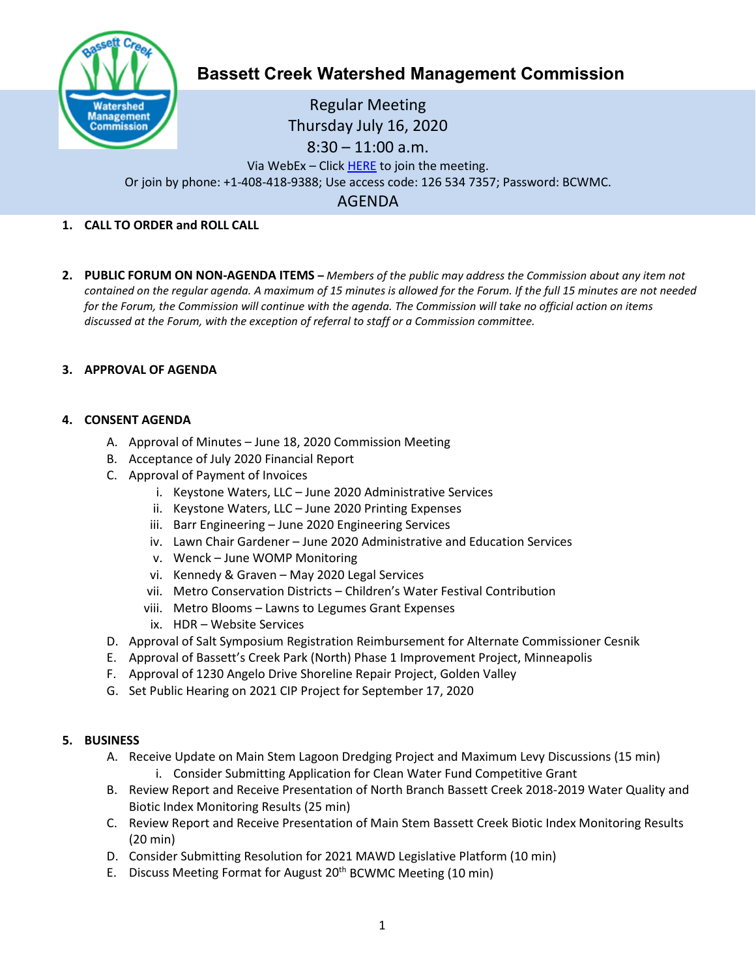

# **Bassett Creek Watershed Management Commission**

Regular Meeting Thursday July 16, 2020 8:30 – 11:00 a.m. Via WebEx – Clic[k HERE](https://keystonewatersllc.my.webex.com/webappng/sites/keystonewatersllc.my/meeting/download/474def54e0a94b3eaa3b1e7de3937395?siteurl=keystonewatersllc.my&MTID=mff07aa432e7cdb612a52da816a1f6422) to join the meeting. Or join by phone: +1-408-418-9388; Use access code: 126 534 7357; Password: BCWMC.

AGENDA

# **1. CALL TO ORDER and ROLL CALL**

**2. PUBLIC FORUM ON NON-AGENDA ITEMS –** *Members of the public may address the Commission about any item not contained on the regular agenda. A maximum of 15 minutes is allowed for the Forum. If the full 15 minutes are not needed for the Forum, the Commission will continue with the agenda. The Commission will take no official action on items discussed at the Forum, with the exception of referral to staff or a Commission committee.*

# **3. APPROVAL OF AGENDA**

#### **4. CONSENT AGENDA**

- A. Approval of Minutes June 18, 2020 Commission Meeting
- B. Acceptance of July 2020 Financial Report
- C. Approval of Payment of Invoices
	- i. Keystone Waters, LLC June 2020 Administrative Services
	- ii. Keystone Waters, LLC June 2020 Printing Expenses
	- iii. Barr Engineering June 2020 Engineering Services
	- iv. Lawn Chair Gardener June 2020 Administrative and Education Services
	- v. Wenck June WOMP Monitoring
	- vi. Kennedy & Graven May 2020 Legal Services
	- vii. Metro Conservation Districts Children's Water Festival Contribution
	- viii. Metro Blooms Lawns to Legumes Grant Expenses
	- ix. HDR Website Services
- D. Approval of Salt Symposium Registration Reimbursement for Alternate Commissioner Cesnik
- E. Approval of Bassett's Creek Park (North) Phase 1 Improvement Project, Minneapolis
- F. Approval of 1230 Angelo Drive Shoreline Repair Project, Golden Valley
- G. Set Public Hearing on 2021 CIP Project for September 17, 2020

#### **5. BUSINESS**

- A. Receive Update on Main Stem Lagoon Dredging Project and Maximum Levy Discussions (15 min) i. Consider Submitting Application for Clean Water Fund Competitive Grant
- B. Review Report and Receive Presentation of North Branch Bassett Creek 2018-2019 Water Quality and Biotic Index Monitoring Results (25 min)
- C. Review Report and Receive Presentation of Main Stem Bassett Creek Biotic Index Monitoring Results (20 min)
- D. Consider Submitting Resolution for 2021 MAWD Legislative Platform (10 min)
- E. Discuss Meeting Format for August 20<sup>th</sup> BCWMC Meeting (10 min)